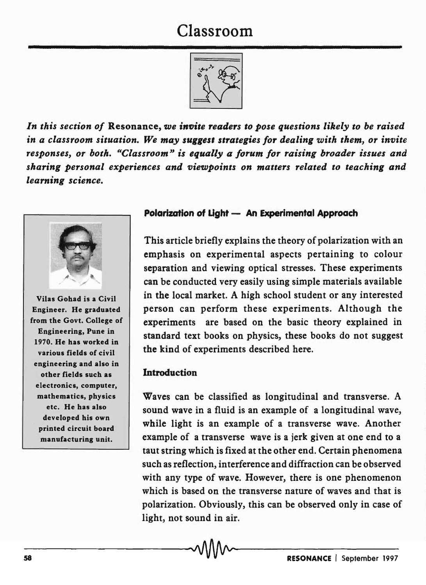# Classroom



*In this section of* Resonance, *we invite readers to pose questions likely to be raised in a classroom situation. We may suggest strategies for dealing with them, or invite responses, or both. "Classroom" is equally a forum for raising broader issues and sharing personal experiences and viewpoints on matters related to teaching and learning science.* 



Vilas Gohad is a Civil Engineer. He graduated from the Govt. College of Engineering, Pune in 1970. He has worked in various fields of civil engineering and also in other fields such as electronics, computer, mathematics, physics etc. He has also developed his own printed circuit board manufacturing unit.

## Polarization of Light - An Experimental Approach

This article briefly explains the theory of polarization with an emphasis on experimental aspects pertaining to colour separation and viewing optical stresses. These experiments can be conducted very easily using simple materials available in the local market. A high school student or any interested person can perform these experiments. Although the experiments are based on the basic theory explained in standard text books on physics, these books do not suggest the kind of experiments described here.

#### **Introduction**

Waves can be classified as longitudinal and transverse. A sound wave in a fluid is an example of a longitudinal wave, while light is an example of a transverse wave. Another example of a transverse wave is a jerk given at one end to a taut string which is fixed at the other end. Certain phenomena such as reflection, interference and diffraction can be observed with any type of wave. However, there is one phenomenon which is based on the transverse nature of waves and that is polarization. Obviously, this can be observed only in case of light, not sound in air.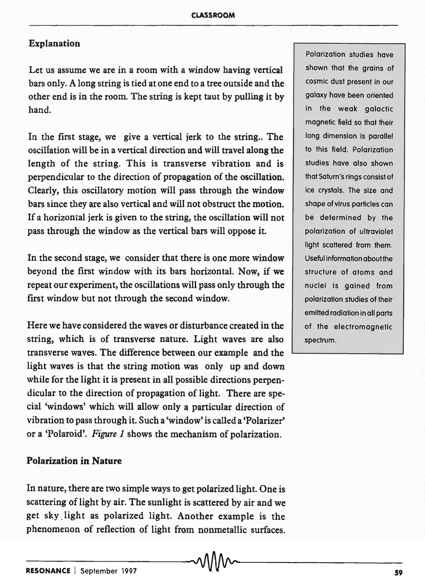### Explanation

Let us assume we are in a room with a window having vertical bars only. A long string is tied at one end to a tree outside and the other end is in the room. The string is kept taut by pulling it by hand.

In the first stage, we give a vertical jerk to the string. The osciliation will be in a vertical direction and will travel along the length of the string. This is transverse vibration and is perpendicular to the direction of propagation of the oscillation. Clearly, this oscillatory motion will pass through the window bars since they are also vertical and will not obstruct the motion. If a horizontal jerk is given to the string, the oscillation will not pass through the window as the vertical bars will oppose it.

In the second stage, we consider that there is one more window beyond the first window with its bars horizontal. Now, if we repeat our experiment, the oscillations will pass only through the first window but not through the second window.

Here we have considered the waves or disturbance created in the string, which is of transverse nature. Light waves are also transverse waves. The difference between our example and the light waves is that the string motion was only up and down while for the light it is present in all possible directions perpendicular to the direction of propagation of light. There are special 'windows' which will allow only a particular direction of vibration to pass through it. Such a 'window' is called a 'Polarizer' or a 'Polaroid'. *Figure* 1 shows the mechanism of polarization.

# Polarization in Nature

In nature, there are two simple ways to get polarized light. One is scattering of light by air. The sunlight is scattered by air and we get sky. light as polarized light. Another example is the phenomenon of reflection of light from nonmetallic surfaces.

Polarization studies have shown that the grains of cosmic dust present in our galaxy have been oriented in the weak galactic magnetic field so that their long dimension is parallel to this field. Polarization studies have also shown that Saturn's rings consist of ice crystals. The size and shape of virus particles can be determined by the polarization of ultraviolet light scattered from them. Useful information aboufthe structure of atoms and nuclei is gained from polarization studies of their emitted radiation in all parts of the electromagnetic spectrum.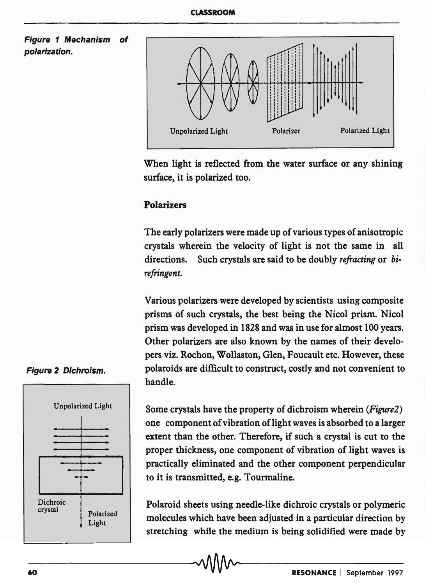



When light is reflected from the water surface or any shining surface, it is polarized too.

## Polarizers

The early polarizers were made up of various types of anisotropic crystals wherein the velocity of light is not the same in all directions. Such crystals are said to be doubly *refracting* or *birefringent.* 

Various polarizers were developed by scientists using composite prisms of such crystals, the best being the Nicol prism. Nicol prism was developed in 1828 and was in use for almost 100 years. Other polarizers are also known by the names of their developers viz. Rochon, Wollaston, Glen, Foucault etc. However, these polaroids are difficult to construct, costly and not convenient to handle.



Some crystals have the property of dichroism wherein *(Figure2)*  one component of vibration of light waves is absorbed to a larger extent than the other. Therefore, if such a crystal is cut to the proper thickness, one component of vibration of light waves is practically eliminated and the other component perpendicular to it is transmitted, e.g. Tourmaline.

Polaroid sheets using needle-like dichroic crystals or polymeric molecules which have been adjusted in a particular direction by stretching while the medium is being solidified were made by

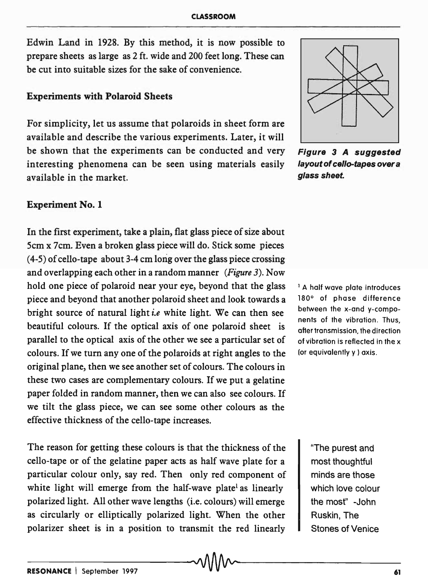Edwin Land in 1928. By this method, it is now possible to prepare sheets as large as 2 ft. wide and 200 feet long. These can be cut into suitable sizes for the sake of convenience.

#### Experiments with Polaroid Sheets

For simplicity, let us assume that polaroids in sheet form are available and describe the various experiments. Later, it will be shown that the experiments can be conducted and very Figure 3 A suggested interesting phenomena can be seen using materials easily layout of cello-tapes over a available in the market. The mass of the mass sheet.

#### Experiment No.1

In the first experiment, take a plain, flat glass piece of size about Scm x 7cm. Even a broken glass piece will do. Stick some pieces  $(4-5)$  of cello-tape about 3-4 cm long over the glass piece crossing and overlapping each other in a random manner *(Figure* 3). Now hold one piece of polaroid near your eye, beyond that the glass piece and beyond that another polaroid sheet and look towards a bright source of natural light *i.e* white light. We can then see beautiful colours. If the optical axis of one polaroid sheet is parallel to the optical axis of the other we see a particular set of colours. If we turn anyone of the polaroids at right angles to the original plane, then we see another set of colours. The colours in these two cases are complementary colours. If we put a gelatine paper folded in random manner, then we can also see colours. If we tilt the glass piece, we can see some other colours as the effective thickness of the cello-tape increases.

The reason for getting these colours is that the thickness of the cello-tape or of the gelatine paper acts as half wave plate for a particular colour only, say red. Then only red component of white light will emerge from the half-wave plate<sup>l</sup> as linearly polarized light. All other wave lengths (i.e. colours) will emerge as circularly or elliptically polarized light. When the other polarizer sheet is in a position to transmit the red linearly



<sup>1</sup> A half wave plate introduces 180° of phase difference between the x-and y-components of the vibration. Thus, after transmission, the direction of vibration is reflected in the x (or equivalently y ) axis.

> "The purest and most thoughtful minds are those which love colour the most" -John Ruskin, The Stones of Venice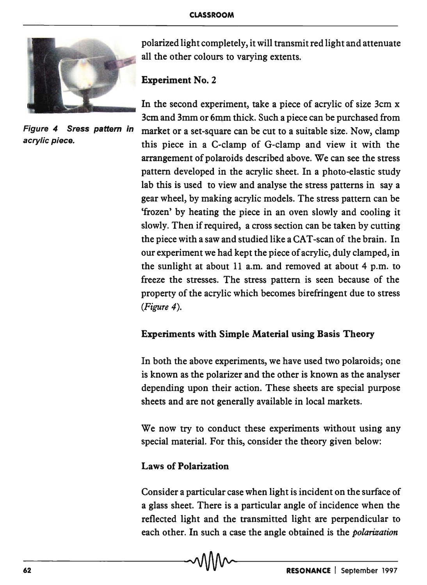

polarized light completely, it will transmit red light and attenuate all the other colours to varying extents.

# Experiment No.2

In the second experiment, take a piece of acrylic of size 3cm x 3cm and 3mm or 6mm thick. Such a piece can be purchased from Figure 4 Sress pattern in market or a set-square can be cut to a suitable size. Now, clamp acrylic piece.<br>this piece in a C-clamp of G-clamp and view it with the arrangement of polaroids described above. We can see the stress pattern developed in the acrylic sheet. In a photo-elastic study lab this is used to view and analyse the stress patterns in say a gear wheel, by making acrylic models. The stress pattern can be 'frozen' by heating the piece in an oven slowly and cooling it slowly. Then if required, a cross section can be taken by cutting the piece with a saw and studied like a CAT -scan of the brain. In our experiment we had kept the piece of acrylic, duly clamped, in the sunlight at about 11 a.m. and removed at about 4 p.m. to freeze the stresses. The stress pattern is seen because of the property of the acrylic which becomes birefringent due to stress *(Figure 4).* 

# Experiments with Simple Material using Basis Theory

In both the above experiments, we have used two polaroids; one is known as the polarizer and the other is known as the analyser depending upon their action. These sheets are special purpose sheets and are not generally available in local markets.

We now try to conduct these experiments without using any special material. For this, consider the theory given below:

## Laws of Polarization

Consider a particular case when light is incident on the surface of a glass sheet. There is a particular angle of incidence when the reflected light and the transmitted light are perpendicular to each other. In such a case the angle obtained is the *polarization*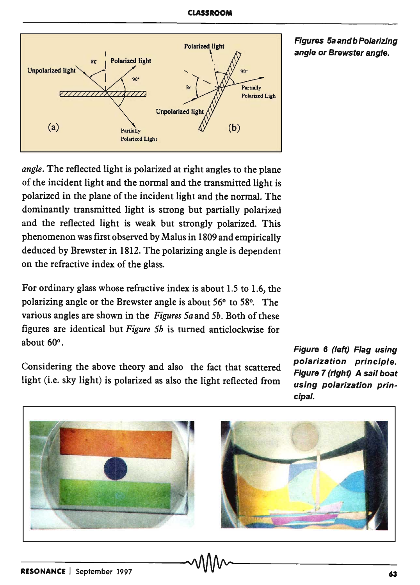

Figures Sa and b Polarizing angle or Brewster angle.

*angle.* The reflected light is polarized at right angles to the plane of the incident light and the normal and the transmitted light is polarized in the plane of the incident light and the normal. The dominantly transmitted light is strong but partially polarized and the reflected light is weak but strongly polarized. This phenomenon was first observed by Malus in 1809 and empirically deduced by Brewster in 1812. The polarizing angle is dependent on the refractive index of the glass.

For ordinary glass whose refractive index is about 1.5 to 1.6, the polarizing angle or the Brewster angle is about 56° to 58°. The various angles are shown in the *Figures Sa* and *Sb.* Both of these figures are identical but *Figure Sb* is turned anticlockwise for about 60°.

Considering the above theory and also the fact that scattered light (i.e. sky light) is polarized as also the light reflected from

Figure 6 (left) Flag using polarization principle. Figure 7 (right) A sail boat using polarization principal.